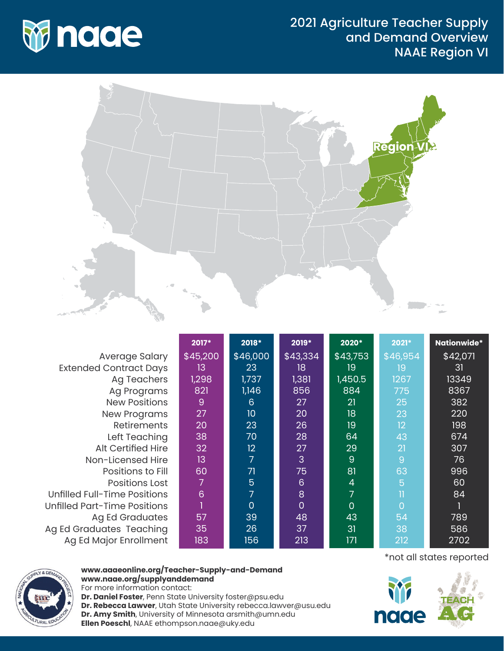

## 2021 Agriculture Teacher Supply and Demand Overview NAAE Region VI



Average Salary Extended Contract Days Ag Teachers Ag Programs New Positions New Programs Retirements Left Teaching Alt Certified Hire Non-Licensed Hire Positions to Fill Positions Lost Unfilled Full-Time Positions Unfilled Part-Time Positions Ag Ed Graduates Ag Ed Graduates Teaching Ag Ed Major Enrollment

| 2017*    | 2018*    | 2019*          | 2020*    | 2021*    | <b>Nationwide*</b> |
|----------|----------|----------------|----------|----------|--------------------|
| \$45,200 | \$46,000 | \$43,334       | \$43,753 | \$46,954 | \$42,071           |
| 13.      | 23       | 18             | 19       | 19       | 31                 |
| 1,298    | 1,737    | 1,381          | 1,450.5  | 1267     | 13349              |
| 821      | 1,146    | 856            | 884      | 775      | 8367               |
| 9        | 6        | 27             | 21       | 25       | 382                |
| 27       | 10       | 20             | 18       | 23       | 220                |
| 20       | 23       | 26             | 19       | 12       | 198                |
| 38       | 70       | 28             | 64       | 43       | 674                |
| 32       | 12       | 27             | 29       | 21       | 307                |
| 13       | 7        | 3              | 9        | 9        | 76                 |
| 60       | 71       | 75             | 81       | 63       | 996                |
| 7        | 5        | 6              | 4        | 5        | 60                 |
| 6        | 7        | 8              | 7        | Π        | 84                 |
|          | 0        | $\overline{0}$ | $\Omega$ | $\Omega$ |                    |
| 57       | 39       | 48             | 43       | 54       | 789                |
| 35       | 26       | 37             | 31       | 38       | 586                |
| 183      | 156      | 213            | 171      | 212      | 2702               |



## **www.aaaeonline.org/Teacher-Supply-and-Demand www.naae.org/supplyanddemand**

For more information contact: **Dr. Daniel Foster**, Penn State University foster@psu.edu **Dr. Rebecca Lawver**, Utah State University rebecca.lawver@usu.edu **Dr. Amy Smith**, University of Minnesota arsmith@umn.edu **Ellen Poeschl**, NAAE ethompson.naae@uky.edu

\*not all states reported